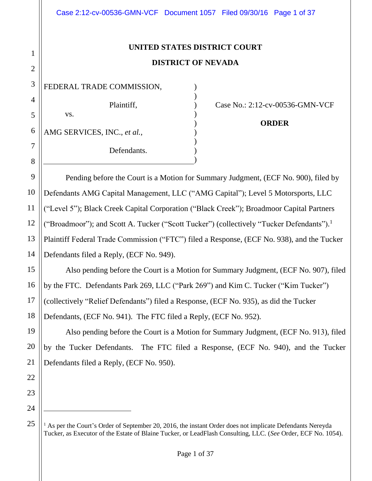| Case 2:12-cv-00536-GMN-VCF Document 1057 Filed 09/30/16 Page 1 of 37                                                                                                                                                                                                                                                                                                                                                                                                                                                                                                                                                                                                                                                                                                                                                                                                                                                                                                                                                                                                                     |                                                 |  |  |  |  |  |  |
|------------------------------------------------------------------------------------------------------------------------------------------------------------------------------------------------------------------------------------------------------------------------------------------------------------------------------------------------------------------------------------------------------------------------------------------------------------------------------------------------------------------------------------------------------------------------------------------------------------------------------------------------------------------------------------------------------------------------------------------------------------------------------------------------------------------------------------------------------------------------------------------------------------------------------------------------------------------------------------------------------------------------------------------------------------------------------------------|-------------------------------------------------|--|--|--|--|--|--|
| UNITED STATES DISTRICT COURT<br><b>DISTRICT OF NEVADA</b>                                                                                                                                                                                                                                                                                                                                                                                                                                                                                                                                                                                                                                                                                                                                                                                                                                                                                                                                                                                                                                |                                                 |  |  |  |  |  |  |
| FEDERAL TRADE COMMISSION,<br>Plaintiff,<br>VS.<br>AMG SERVICES, INC., et al.,<br>Defendants.                                                                                                                                                                                                                                                                                                                                                                                                                                                                                                                                                                                                                                                                                                                                                                                                                                                                                                                                                                                             | Case No.: 2:12-cv-00536-GMN-VCF<br><b>ORDER</b> |  |  |  |  |  |  |
| Pending before the Court is a Motion for Summary Judgment, (ECF No. 900), filed by<br>Defendants AMG Capital Management, LLC ("AMG Capital"); Level 5 Motorsports, LLC<br>("Level 5"); Black Creek Capital Corporation ("Black Creek"); Broadmoor Capital Partners<br>("Broadmoor"); and Scott A. Tucker ("Scott Tucker") (collectively "Tucker Defendants"). <sup>1</sup><br>Plaintiff Federal Trade Commission ("FTC") filed a Response, (ECF No. 938), and the Tucker<br>Defendants filed a Reply, (ECF No. 949).<br>Also pending before the Court is a Motion for Summary Judgment, (ECF No. 907), filed<br>by the FTC. Defendants Park 269, LLC ("Park 269") and Kim C. Tucker ("Kim Tucker")<br>(collectively "Relief Defendants") filed a Response, (ECF No. 935), as did the Tucker<br>Defendants, (ECF No. 941). The FTC filed a Reply, (ECF No. 952).<br>Also pending before the Court is a Motion for Summary Judgment, (ECF No. 913), filed<br>by the Tucker Defendants. The FTC filed a Response, (ECF No. 940), and the Tucker<br>Defendants filed a Reply, (ECF No. 950). |                                                 |  |  |  |  |  |  |

1

2

3

4

5

6

7

8

9

10

11

12

13

14

15

16

17

18

19

20

21

22

23

24

<sup>&</sup>lt;sup>1</sup> As per the Court's Order of September 20, 2016, the instant Order does not implicate Defendants Nereyda Tucker, as Executor of the Estate of Blaine Tucker, or LeadFlash Consulting, LLC. (*See* Order, ECF No. 1054).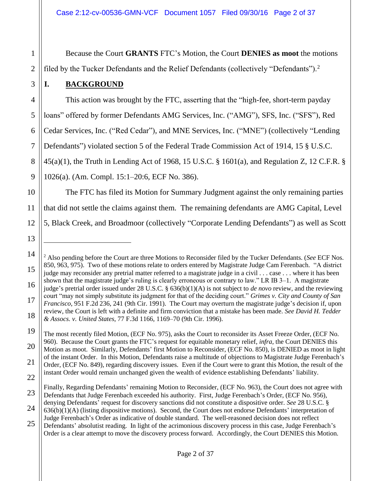Because the Court **GRANTS** FTC's Motion, the Court **DENIES as moot** the motions filed by the Tucker Defendants and the Relief Defendants (collectively "Defendants").<sup>2</sup>

## **I. BACKGROUND**

7 8 9 This action was brought by the FTC, asserting that the "high-fee, short-term payday loans" offered by former Defendants AMG Services, Inc. ("AMG"), SFS, Inc. ("SFS"), Red Cedar Services, Inc. ("Red Cedar"), and MNE Services, Inc. ("MNE") (collectively "Lending Defendants") violated section 5 of the Federal Trade Commission Act of 1914, 15 § U.S.C. 45(a)(1), the Truth in Lending Act of 1968, 15 U.S.C. § 1601(a), and Regulation Z, 12 C.F.R. § 1026(a). (Am. Compl. 15:1–20:6, ECF No. 386).

The FTC has filed its Motion for Summary Judgment against the only remaining parties that did not settle the claims against them. The remaining defendants are AMG Capital, Level 5, Black Creek, and Broadmoor (collectively "Corporate Lending Defendants") as well as Scott

10

11

12

13

<sup>14</sup> 15 16 17 18 <sup>2</sup> Also pending before the Court are three Motions to Reconsider filed by the Tucker Defendants. (*See* ECF Nos. 850, 963, 975). Two of these motions relate to orders entered by Magistrate Judge Cam Ferenbach. "A district judge may reconsider any pretrial matter referred to a magistrate judge in a civil . . . case . . . where it has been shown that the magistrate judge's ruling is clearly erroneous or contrary to law." LR IB 3–1. A magistrate judge's pretrial order issued under 28 U.S.C. § 636(b)(1)(A) is not subject to *de novo* review, and the reviewing court "may not simply substitute its judgment for that of the deciding court." *Grimes v. City and County of San Francisco*, 951 F.2d 236, 241 (9th Cir. 1991). The Court may overturn the magistrate judge's decision if, upon review, the Court is left with a definite and firm conviction that a mistake has been made. *See David H. Tedder & Assocs. v. United States*, 77 F.3d 1166, 1169–70 (9th Cir. 1996).

<sup>19</sup> 20 21 22 The most recently filed Motion, (ECF No. 975), asks the Court to reconsider its Asset Freeze Order, (ECF No. 960). Because the Court grants the FTC's request for equitable monetary relief, *infra*, the Court DENIES this Motion as moot. Similarly, Defendants' first Motion to Reconsider, (ECF No. 850), is DENIED as moot in light of the instant Order. In this Motion, Defendants raise a multitude of objections to Magistrate Judge Ferenbach's Order, (ECF No. 849), regarding discovery issues. Even if the Court were to grant this Motion, the result of the instant Order would remain unchanged given the wealth of evidence establishing Defendants' liability.

<sup>23</sup> 24 Finally, Regarding Defendants' remaining Motion to Reconsider, (ECF No. 963), the Court does not agree with Defendants that Judge Ferenbach exceeded his authority. First, Judge Ferenbach's Order, (ECF No. 956), denying Defendants' request for discovery sanctions did not constitute a dispositive order. *See* 28 U.S.C. §

 $636(b)(1)(A)$  (listing dispositive motions). Second, the Court does not endorse Defendants' interpretation of Judge Ferenbach's Order as indicative of double standard. The well-reasoned decision does not reflect

<sup>25</sup> Defendants' absolutist reading. In light of the acrimonious discovery process in this case, Judge Ferenbach's Order is a clear attempt to move the discovery process forward. Accordingly, the Court DENIES this Motion.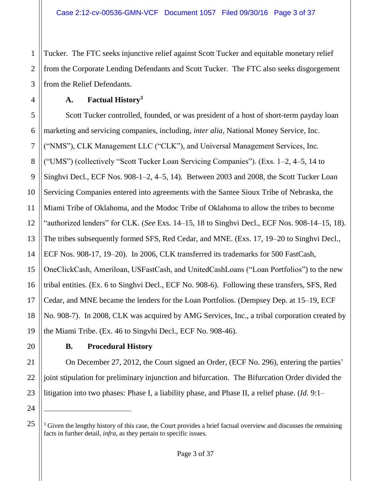Tucker. The FTC seeks injunctive relief against Scott Tucker and equitable monetary relief from the Corporate Lending Defendants and Scott Tucker. The FTC also seeks disgorgement from the Relief Defendants.

**A. Factual History<sup>3</sup>**

5 6 7 8 9 10 11 12 13 14 15 16 17 18 Scott Tucker controlled, founded, or was president of a host of short-term payday loan marketing and servicing companies, including, *inter alia*, National Money Service, Inc. ("NMS"), CLK Management LLC ("CLK"), and Universal Management Services, Inc. ("UMS") (collectively "Scott Tucker Loan Servicing Companies"). (Exs. 1–2, 4–5, 14 to Singhvi Decl., ECF Nos. 908-1–2, 4–5, 14). Between 2003 and 2008, the Scott Tucker Loan Servicing Companies entered into agreements with the Santee Sioux Tribe of Nebraska, the Miami Tribe of Oklahoma, and the Modoc Tribe of Oklahoma to allow the tribes to become "authorized lenders" for CLK. (*See* Exs. 14–15, 18 to Singhvi Decl., ECF Nos. 908-14–15, 18). The tribes subsequently formed SFS, Red Cedar, and MNE. (Exs. 17, 19–20 to Singhvi Decl., ECF Nos. 908-17, 19–20). In 2006, CLK transferred its trademarks for 500 FastCash, OneClickCash, Ameriloan, USFastCash, and UnitedCashLoans ("Loan Portfolios") to the new tribal entities. (Ex. 6 to Singhvi Decl., ECF No. 908-6). Following these transfers, SFS, Red Cedar, and MNE became the lenders for the Loan Portfolios. (Dempsey Dep. at 15–19, ECF No. 908-7). In 2008, CLK was acquired by AMG Services, Inc., a tribal corporation created by the Miami Tribe. (Ex. 46 to Singvhi Decl., ECF No. 908-46).

1

2

3

4

## **B. Procedural History**

On December 27, 2012, the Court signed an Order, (ECF No. 296), entering the parties' joint stipulation for preliminary injunction and bifurcation. The Bifurcation Order divided the litigation into two phases: Phase I, a liability phase, and Phase II, a relief phase. (*Id.* 9:1–

25

24

 $3$  Given the lengthy history of this case, the Court provides a brief factual overview and discusses the remaining facts in further detail, *infra*, as they pertain to specific issues.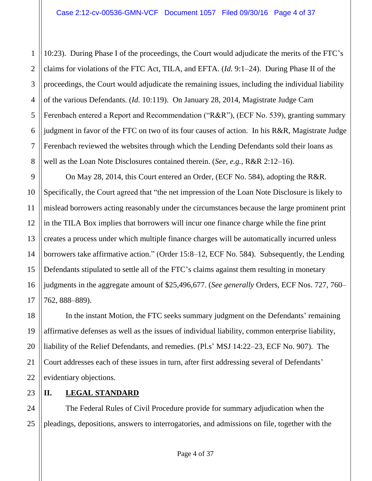1 2 3 4 5 6 7 8 10:23). During Phase I of the proceedings, the Court would adjudicate the merits of the FTC's claims for violations of the FTC Act, TILA, and EFTA. (*Id.* 9:1–24). During Phase II of the proceedings, the Court would adjudicate the remaining issues, including the individual liability of the various Defendants. (*Id.* 10:119). On January 28, 2014, Magistrate Judge Cam Ferenbach entered a Report and Recommendation ("R&R"), (ECF No. 539), granting summary judgment in favor of the FTC on two of its four causes of action. In his R&R, Magistrate Judge Ferenbach reviewed the websites through which the Lending Defendants sold their loans as well as the Loan Note Disclosures contained therein. (*See, e.g.*, R&R 2:12–16).

On May 28, 2014, this Court entered an Order, (ECF No. 584), adopting the R&R. Specifically, the Court agreed that "the net impression of the Loan Note Disclosure is likely to mislead borrowers acting reasonably under the circumstances because the large prominent print in the TILA Box implies that borrowers will incur one finance charge while the fine print creates a process under which multiple finance charges will be automatically incurred unless borrowers take affirmative action." (Order 15:8–12, ECF No. 584). Subsequently, the Lending Defendants stipulated to settle all of the FTC's claims against them resulting in monetary judgments in the aggregate amount of \$25,496,677. (*See generally* Orders, ECF Nos. 727, 760– 762, 888–889).

18 19 20 22 In the instant Motion, the FTC seeks summary judgment on the Defendants' remaining affirmative defenses as well as the issues of individual liability, common enterprise liability, liability of the Relief Defendants, and remedies. (Pl.s' MSJ 14:22–23, ECF No. 907). The Court addresses each of these issues in turn, after first addressing several of Defendants' evidentiary objections.

## **II. LEGAL STANDARD**

The Federal Rules of Civil Procedure provide for summary adjudication when the pleadings, depositions, answers to interrogatories, and admissions on file, together with the

9

10

11

12

13

14

15

16

17

21

23

24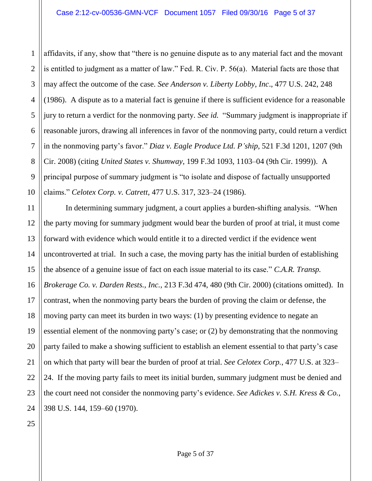1 2 3 4 5 6 7 8 9 10 affidavits, if any, show that "there is no genuine dispute as to any material fact and the movant is entitled to judgment as a matter of law." Fed. R. Civ. P. 56(a). Material facts are those that may affect the outcome of the case. *See Anderson v. Liberty Lobby, Inc*., 477 U.S. 242, 248 (1986). A dispute as to a material fact is genuine if there is sufficient evidence for a reasonable jury to return a verdict for the nonmoving party. *See id.* "Summary judgment is inappropriate if reasonable jurors, drawing all inferences in favor of the nonmoving party, could return a verdict in the nonmoving party's favor." *Diaz v. Eagle Produce Ltd. P'ship*, 521 F.3d 1201, 1207 (9th Cir. 2008) (citing *United States v. Shumway*, 199 F.3d 1093, 1103–04 (9th Cir. 1999)). A principal purpose of summary judgment is "to isolate and dispose of factually unsupported claims." *Celotex Corp. v. Catrett*, 477 U.S. 317, 323–24 (1986).

11 12 13 14 15 16 17 18 19 20 21 22 23 24 In determining summary judgment, a court applies a burden-shifting analysis. "When the party moving for summary judgment would bear the burden of proof at trial, it must come forward with evidence which would entitle it to a directed verdict if the evidence went uncontroverted at trial. In such a case, the moving party has the initial burden of establishing the absence of a genuine issue of fact on each issue material to its case." *C.A.R. Transp. Brokerage Co. v. Darden Rests., Inc.*, 213 F.3d 474, 480 (9th Cir. 2000) (citations omitted). In contrast, when the nonmoving party bears the burden of proving the claim or defense, the moving party can meet its burden in two ways: (1) by presenting evidence to negate an essential element of the nonmoving party's case; or (2) by demonstrating that the nonmoving party failed to make a showing sufficient to establish an element essential to that party's case on which that party will bear the burden of proof at trial. *See Celotex Corp.*, 477 U.S. at 323– 24. If the moving party fails to meet its initial burden, summary judgment must be denied and the court need not consider the nonmoving party's evidence. *See Adickes v. S.H. Kress & Co.*, 398 U.S. 144, 159–60 (1970).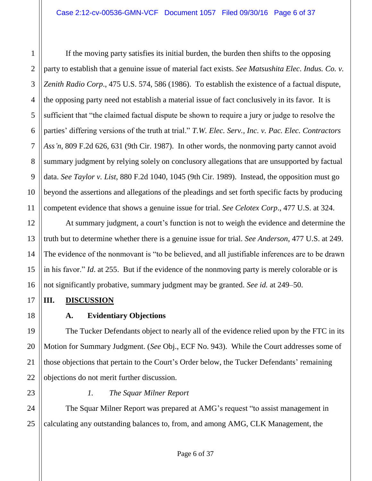1 2 If the moving party satisfies its initial burden, the burden then shifts to the opposing party to establish that a genuine issue of material fact exists. *See Matsushita Elec. Indus. Co. v. Zenith Radio Corp*., 475 U.S. 574, 586 (1986). To establish the existence of a factual dispute, the opposing party need not establish a material issue of fact conclusively in its favor. It is sufficient that "the claimed factual dispute be shown to require a jury or judge to resolve the parties' differing versions of the truth at trial." *T.W. Elec. Serv., Inc. v. Pac. Elec. Contractors Ass'n*, 809 F.2d 626, 631 (9th Cir. 1987). In other words, the nonmoving party cannot avoid summary judgment by relying solely on conclusory allegations that are unsupported by factual data. *See Taylor v. List*, 880 F.2d 1040, 1045 (9th Cir. 1989). Instead, the opposition must go beyond the assertions and allegations of the pleadings and set forth specific facts by producing competent evidence that shows a genuine issue for trial. *See Celotex Corp*., 477 U.S. at 324.

At summary judgment, a court's function is not to weigh the evidence and determine the truth but to determine whether there is a genuine issue for trial. *See Anderson*, 477 U.S. at 249. The evidence of the nonmovant is "to be believed, and all justifiable inferences are to be drawn in his favor." *Id*. at 255. But if the evidence of the nonmoving party is merely colorable or is not significantly probative, summary judgment may be granted. *See id.* at 249–50.

## **III. DISCUSSION**

## **A. Evidentiary Objections**

The Tucker Defendants object to nearly all of the evidence relied upon by the FTC in its Motion for Summary Judgment. (*See* Obj., ECF No. 943). While the Court addresses some of those objections that pertain to the Court's Order below, the Tucker Defendants' remaining objections do not merit further discussion.

## *1. The Squar Milner Report*

The Squar Milner Report was prepared at AMG's request "to assist management in calculating any outstanding balances to, from, and among AMG, CLK Management, the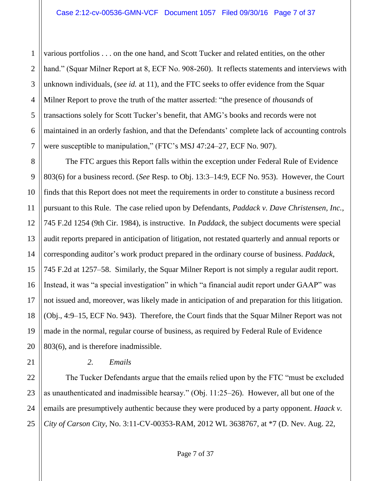2 3 various portfolios . . . on the one hand, and Scott Tucker and related entities, on the other hand." (Squar Milner Report at 8, ECF No. 908-260). It reflects statements and interviews with unknown individuals, (*see id.* at 11), and the FTC seeks to offer evidence from the Squar Milner Report to prove the truth of the matter asserted: "the presence of *thousands* of transactions solely for Scott Tucker's benefit, that AMG's books and records were not maintained in an orderly fashion, and that the Defendants' complete lack of accounting controls were susceptible to manipulation," (FTC's MSJ 47:24–27, ECF No. 907).

The FTC argues this Report falls within the exception under Federal Rule of Evidence 803(6) for a business record. (*See* Resp. to Obj. 13:3–14:9, ECF No. 953). However, the Court finds that this Report does not meet the requirements in order to constitute a business record pursuant to this Rule. The case relied upon by Defendants, *Paddack v. Dave Christensen, Inc.*, 745 F.2d 1254 (9th Cir. 1984), is instructive. In *Paddack,* the subject documents were special audit reports prepared in anticipation of litigation, not restated quarterly and annual reports or corresponding auditor's work product prepared in the ordinary course of business. *Paddack*, 745 F.2d at 1257–58. Similarly, the Squar Milner Report is not simply a regular audit report. Instead, it was "a special investigation" in which "a financial audit report under GAAP" was not issued and, moreover, was likely made in anticipation of and preparation for this litigation. (Obj., 4:9–15, ECF No. 943). Therefore, the Court finds that the Squar Milner Report was not made in the normal, regular course of business, as required by Federal Rule of Evidence 803(6), and is therefore inadmissible.

#### *2. Emails*

The Tucker Defendants argue that the emails relied upon by the FTC "must be excluded as unauthenticated and inadmissible hearsay." (Obj. 11:25–26). However, all but one of the emails are presumptively authentic because they were produced by a party opponent. *Haack v. City of Carson City*, No. 3:11-CV-00353-RAM, 2012 WL 3638767, at \*7 (D. Nev. Aug. 22,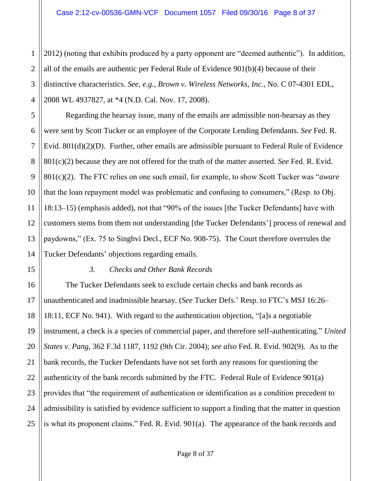1 2 3 4 2012) (noting that exhibits produced by a party opponent are "deemed authentic"). In addition, all of the emails are authentic per Federal Rule of Evidence 901(b)(4) because of their distinctive characteristics. *See, e.g.*, *Brown v. Wireless Networks, Inc.*, No. C 07-4301 EDL, 2008 WL 4937827, at \*4 (N.D. Cal. Nov. 17, 2008).

6 8 9 10 12 13 14 Regarding the hearsay issue, many of the emails are admissible non-hearsay as they were sent by Scott Tucker or an employee of the Corporate Lending Defendants. *See* Fed. R. Evid. 801(d)(2)(D). Further, other emails are admissible pursuant to Federal Rule of Evidence 801(c)(2) because they are not offered for the truth of the matter asserted. *See* Fed. R. Evid. 801(c)(2). The FTC relies on one such email, for example, to show Scott Tucker was "*aware* that the loan repayment model was problematic and confusing to consumers," (Resp. to Obj. 18:13–15) (emphasis added), not that "90% of the issues [the Tucker Defendants] have with customers stems from them not understanding [the Tucker Defendants'] process of renewal and paydowns," (Ex. 75 to Singhvi Decl., ECF No. 908-75). The Court therefore overrules the Tucker Defendants' objections regarding emails.

15

21

5

7

11

#### *3. Checks and Other Bank Records*

16 17 18 19 20 22 23 24 25 The Tucker Defendants seek to exclude certain checks and bank records as unauthenticated and inadmissible hearsay. (*See* Tucker Defs.' Resp. to FTC's MSJ 16:26– 18:11, ECF No. 941). With regard to the authentication objection, "[a]s a negotiable instrument, a check is a species of commercial paper, and therefore self-authenticating." *United States v. Pang*, 362 F.3d 1187, 1192 (9th Cir. 2004); *see also* Fed. R. Evid. 902(9). As to the bank records, the Tucker Defendants have not set forth any reasons for questioning the authenticity of the bank records submitted by the FTC. Federal Rule of Evidence 901(a) provides that "the requirement of authentication or identification as a condition precedent to admissibility is satisfied by evidence sufficient to support a finding that the matter in question is what its proponent claims." Fed. R. Evid. 901(a). The appearance of the bank records and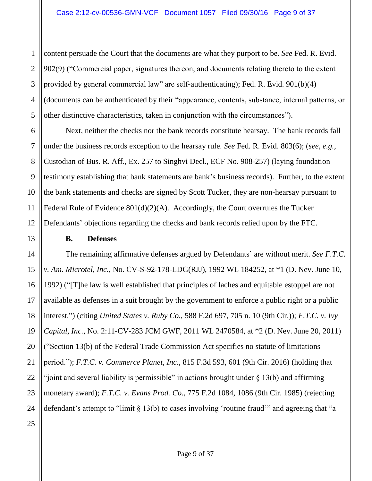1 2 3 content persuade the Court that the documents are what they purport to be. *See* Fed. R. Evid. 902(9) ("Commercial paper, signatures thereon, and documents relating thereto to the extent provided by general commercial law" are self-authenticating); Fed. R. Evid. 901(b)(4) (documents can be authenticated by their "appearance, contents, substance, internal patterns, or other distinctive characteristics, taken in conjunction with the circumstances").

Next, neither the checks nor the bank records constitute hearsay. The bank records fall under the business records exception to the hearsay rule. *See* Fed. R. Evid. 803(6); (*see, e.g.*, Custodian of Bus. R. Aff., Ex. 257 to Singhvi Decl., ECF No. 908-257) (laying foundation testimony establishing that bank statements are bank's business records). Further, to the extent the bank statements and checks are signed by Scott Tucker, they are non-hearsay pursuant to Federal Rule of Evidence 801(d)(2)(A). Accordingly, the Court overrules the Tucker Defendants' objections regarding the checks and bank records relied upon by the FTC.

#### **B. Defenses**

The remaining affirmative defenses argued by Defendants' are without merit. *See F.T.C. v. Am. Microtel, Inc.*, No. CV-S-92-178-LDG(RJJ), 1992 WL 184252, at \*1 (D. Nev. June 10, 1992) ("[T]he law is well established that principles of laches and equitable estoppel are not available as defenses in a suit brought by the government to enforce a public right or a public interest.") (citing *United States v. Ruby Co.*, 588 F.2d 697, 705 n. 10 (9th Cir.)); *F.T.C. v. Ivy Capital, Inc.*, No. 2:11-CV-283 JCM GWF, 2011 WL 2470584, at \*2 (D. Nev. June 20, 2011) ("Section 13(b) of the Federal Trade Commission Act specifies no statute of limitations period."); *F.T.C. v. Commerce Planet, Inc.*, 815 F.3d 593, 601 (9th Cir. 2016) (holding that "joint and several liability is permissible" in actions brought under § 13(b) and affirming monetary award); *F.T.C. v. Evans Prod. Co.*, 775 F.2d 1084, 1086 (9th Cir. 1985) (rejecting defendant's attempt to "limit § 13(b) to cases involving 'routine fraud'" and agreeing that "a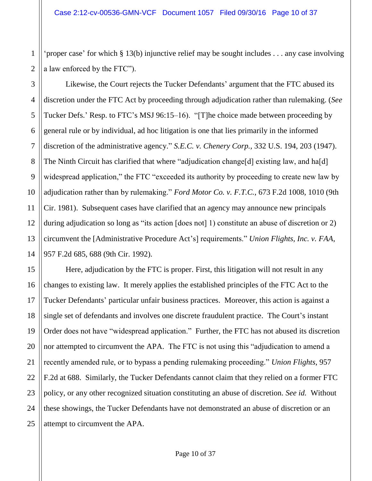2 'proper case' for which § 13(b) injunctive relief may be sought includes . . . any case involving a law enforced by the FTC").

1

11

15

16

17

18

19

20

21

22

23

24

25

3 4 5 6 7 8 9 10 12 13 14 Likewise, the Court rejects the Tucker Defendants' argument that the FTC abused its discretion under the FTC Act by proceeding through adjudication rather than rulemaking. (*See*  Tucker Defs.' Resp. to FTC's MSJ 96:15–16). "[T]he choice made between proceeding by general rule or by individual, ad hoc litigation is one that lies primarily in the informed discretion of the administrative agency." *S.E.C. v. Chenery Corp.*, 332 U.S. 194, 203 (1947). The Ninth Circuit has clarified that where "adjudication change [d] existing law, and ha<sup>[d]</sup> widespread application," the FTC "exceeded its authority by proceeding to create new law by adjudication rather than by rulemaking." *Ford Motor Co. v. F.T.C.*, 673 F.2d 1008, 1010 (9th Cir. 1981). Subsequent cases have clarified that an agency may announce new principals during adjudication so long as "its action [does not] 1) constitute an abuse of discretion or 2) circumvent the [Administrative Procedure Act's] requirements." *Union Flights, Inc. v. FAA*, 957 F.2d 685, 688 (9th Cir. 1992).

Here, adjudication by the FTC is proper. First, this litigation will not result in any changes to existing law. It merely applies the established principles of the FTC Act to the Tucker Defendants' particular unfair business practices. Moreover, this action is against a single set of defendants and involves one discrete fraudulent practice. The Court's instant Order does not have "widespread application." Further, the FTC has not abused its discretion nor attempted to circumvent the APA. The FTC is not using this "adjudication to amend a recently amended rule, or to bypass a pending rulemaking proceeding." *Union Flights*, 957 F.2d at 688. Similarly, the Tucker Defendants cannot claim that they relied on a former FTC policy, or any other recognized situation constituting an abuse of discretion. *See id.* Without these showings, the Tucker Defendants have not demonstrated an abuse of discretion or an attempt to circumvent the APA.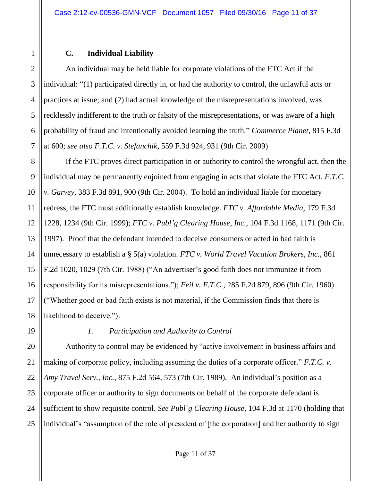## **C. Individual Liability**

An individual may be held liable for corporate violations of the FTC Act if the individual: "(1) participated directly in, or had the authority to control, the unlawful acts or practices at issue; and (2) had actual knowledge of the misrepresentations involved, was recklessly indifferent to the truth or falsity of the misrepresentations, or was aware of a high probability of fraud and intentionally avoided learning the truth." *Commerce Planet*, 815 F.3d at 600; *see also F.T.C. v. Stefanchik*, 559 F.3d 924, 931 (9th Cir. 2009)

If the FTC proves direct participation in or authority to control the wrongful act, then the individual may be permanently enjoined from engaging in acts that violate the FTC Act. *F.T.C. v. Garvey*, 383 F.3d 891, 900 (9th Cir. 2004). To hold an individual liable for monetary redress, the FTC must additionally establish knowledge. *FTC v. Affordable Media*, 179 F.3d 1228, 1234 (9th Cir. 1999); *FTC v. Publ'g Clearing House, Inc.*, 104 F.3d 1168, 1171 (9th Cir. 1997). Proof that the defendant intended to deceive consumers or acted in bad faith is unnecessary to establish a § 5(a) violation. *FTC v. World Travel Vacation Brokers, Inc.*, 861 F.2d 1020, 1029 (7th Cir. 1988) ("An advertiser's good faith does not immunize it from responsibility for its misrepresentations."); *Feil v. F.T.C.*, 285 F.2d 879, 896 (9th Cir. 1960) ("Whether good or bad faith exists is not material, if the Commission finds that there is likelihood to deceive.").

## *1. Participation and Authority to Control*

Authority to control may be evidenced by "active involvement in business affairs and making of corporate policy, including assuming the duties of a corporate officer." *F.T.C. v. Amy Travel Serv., Inc.*, 875 F.2d 564, 573 (7th Cir. 1989). An individual's position as a corporate officer or authority to sign documents on behalf of the corporate defendant is sufficient to show requisite control. *See Publ'g Clearing House*, 104 F.3d at 1170 (holding that individual's "assumption of the role of president of [the corporation] and her authority to sign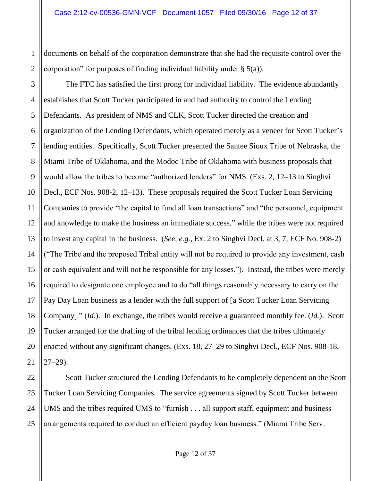1 2 documents on behalf of the corporation demonstrate that she had the requisite control over the corporation" for purposes of finding individual liability under  $\S$  5(a)).

The FTC has satisfied the first prong for individual liability. The evidence abundantly establishes that Scott Tucker participated in and had authority to control the Lending Defendants. As president of NMS and CLK, Scott Tucker directed the creation and organization of the Lending Defendants, which operated merely as a veneer for Scott Tucker's lending entities. Specifically, Scott Tucker presented the Santee Sioux Tribe of Nebraska, the Miami Tribe of Oklahoma, and the Modoc Tribe of Oklahoma with business proposals that would allow the tribes to become "authorized lenders" for NMS. (Exs. 2, 12–13 to Singhvi Decl., ECF Nos. 908-2, 12–13). These proposals required the Scott Tucker Loan Servicing Companies to provide "the capital to fund all loan transactions" and "the personnel, equipment and knowledge to make the business an immediate success," while the tribes were not required to invest any capital in the business. (*See, e.g.*, Ex. 2 to Singhvi Decl. at 3, 7, ECF No. 908-2) ("The Tribe and the proposed Tribal entity will not be required to provide any investment, cash or cash equivalent and will not be responsible for any losses."). Instead, the tribes were merely required to designate one employee and to do "all things reasonably necessary to carry on the Pay Day Loan business as a lender with the full support of [a Scott Tucker Loan Servicing Company]." (*Id.*). In exchange, the tribes would receive a guaranteed monthly fee. (*Id.*). Scott Tucker arranged for the drafting of the tribal lending ordinances that the tribes ultimately enacted without any significant changes. (Exs. 18, 27–29 to Singhvi Decl., ECF Nos. 908-18, 27–29).

Scott Tucker structured the Lending Defendants to be completely dependent on the Scott Tucker Loan Servicing Companies. The service agreements signed by Scott Tucker between UMS and the tribes required UMS to "furnish . . . all support staff, equipment and business arrangements required to conduct an efficient payday loan business." (Miami Tribe Serv.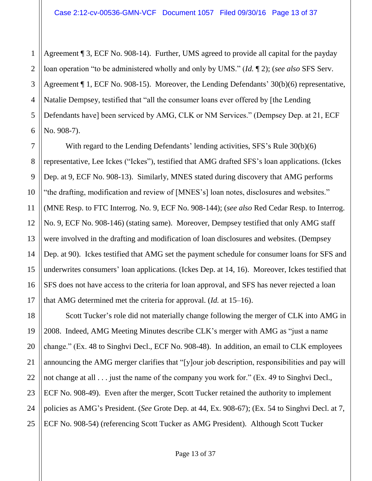1 2 Agreement ¶ 3, ECF No. 908-14). Further, UMS agreed to provide all capital for the payday loan operation "to be administered wholly and only by UMS." (*Id.* ¶ 2); (*see also* SFS Serv. Agreement ¶ 1, ECF No. 908-15). Moreover, the Lending Defendants' 30(b)(6) representative, Natalie Dempsey, testified that "all the consumer loans ever offered by [the Lending Defendants have] been serviced by AMG, CLK or NM Services." (Dempsey Dep. at 21, ECF No. 908-7).

With regard to the Lending Defendants' lending activities, SFS's Rule 30(b)(6) representative, Lee Ickes ("Ickes"), testified that AMG drafted SFS's loan applications. (Ickes Dep. at 9, ECF No. 908-13). Similarly, MNES stated during discovery that AMG performs "the drafting, modification and review of [MNES's] loan notes, disclosures and websites." (MNE Resp. to FTC Interrog. No. 9, ECF No. 908-144); (*see also* Red Cedar Resp. to Interrog. No. 9, ECF No. 908-146) (stating same). Moreover, Dempsey testified that only AMG staff were involved in the drafting and modification of loan disclosures and websites. (Dempsey Dep. at 90). Ickes testified that AMG set the payment schedule for consumer loans for SFS and underwrites consumers' loan applications. (Ickes Dep. at 14, 16). Moreover, Ickes testified that SFS does not have access to the criteria for loan approval, and SFS has never rejected a loan that AMG determined met the criteria for approval. (*Id.* at 15–16).

Scott Tucker's role did not materially change following the merger of CLK into AMG in 2008. Indeed, AMG Meeting Minutes describe CLK's merger with AMG as "just a name change." (Ex. 48 to Singhvi Decl., ECF No. 908-48). In addition, an email to CLK employees announcing the AMG merger clarifies that "[y]our job description, responsibilities and pay will not change at all . . . just the name of the company you work for." (Ex. 49 to Singhvi Decl., ECF No. 908-49). Even after the merger, Scott Tucker retained the authority to implement policies as AMG's President. (*See* Grote Dep. at 44, Ex. 908-67); (Ex. 54 to Singhvi Decl. at 7, ECF No. 908-54) (referencing Scott Tucker as AMG President). Although Scott Tucker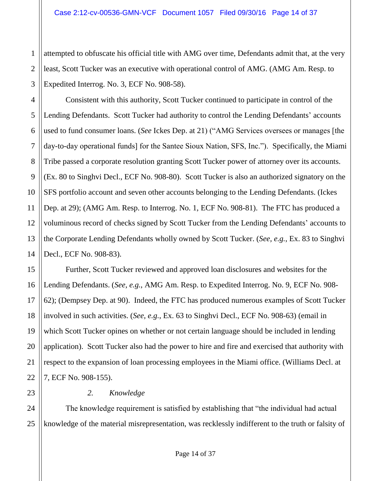1 2 3 attempted to obfuscate his official title with AMG over time, Defendants admit that, at the very least, Scott Tucker was an executive with operational control of AMG. (AMG Am. Resp. to Expedited Interrog. No. 3, ECF No. 908-58).

4 5 Consistent with this authority, Scott Tucker continued to participate in control of the Lending Defendants. Scott Tucker had authority to control the Lending Defendants' accounts used to fund consumer loans. (*See* Ickes Dep. at 21) ("AMG Services oversees or manages [the day-to-day operational funds] for the Santee Sioux Nation, SFS, Inc."). Specifically, the Miami Tribe passed a corporate resolution granting Scott Tucker power of attorney over its accounts. (Ex. 80 to Singhvi Decl., ECF No. 908-80). Scott Tucker is also an authorized signatory on the SFS portfolio account and seven other accounts belonging to the Lending Defendants. (Ickes Dep. at 29); (AMG Am. Resp. to Interrog. No. 1, ECF No. 908-81). The FTC has produced a voluminous record of checks signed by Scott Tucker from the Lending Defendants' accounts to the Corporate Lending Defendants wholly owned by Scott Tucker. (*See, e.g.*, Ex. 83 to Singhvi Decl., ECF No. 908-83).

Further, Scott Tucker reviewed and approved loan disclosures and websites for the Lending Defendants. (*See, e.g.*, AMG Am. Resp. to Expedited Interrog. No. 9, ECF No. 908- 62); (Dempsey Dep. at 90). Indeed, the FTC has produced numerous examples of Scott Tucker involved in such activities. (*See, e.g.*, Ex. 63 to Singhvi Decl., ECF No. 908-63) (email in which Scott Tucker opines on whether or not certain language should be included in lending application). Scott Tucker also had the power to hire and fire and exercised that authority with respect to the expansion of loan processing employees in the Miami office. (Williams Decl. at 7, ECF No. 908-155).

#### *2. Knowledge*

The knowledge requirement is satisfied by establishing that "the individual had actual knowledge of the material misrepresentation, was recklessly indifferent to the truth or falsity of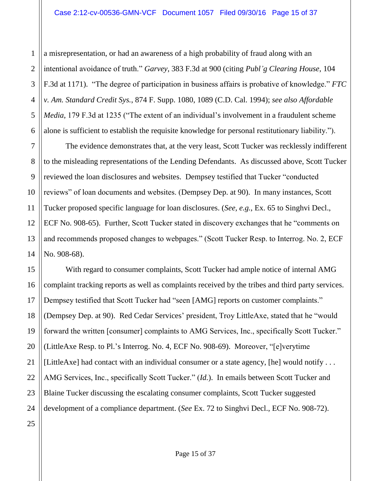1 2 a misrepresentation, or had an awareness of a high probability of fraud along with an intentional avoidance of truth." *Garvey*, 383 F.3d at 900 (citing *Publ'g Clearing House*, 104 F.3d at 1171). "The degree of participation in business affairs is probative of knowledge." *FTC v. Am. Standard Credit Sys.*, 874 F. Supp. 1080, 1089 (C.D. Cal. 1994); *see also Affordable Media*, 179 F.3d at 1235 ("The extent of an individual's involvement in a fraudulent scheme alone is sufficient to establish the requisite knowledge for personal restitutionary liability.").

The evidence demonstrates that, at the very least, Scott Tucker was recklessly indifferent to the misleading representations of the Lending Defendants. As discussed above, Scott Tucker reviewed the loan disclosures and websites. Dempsey testified that Tucker "conducted reviews" of loan documents and websites. (Dempsey Dep. at 90). In many instances, Scott Tucker proposed specific language for loan disclosures. (*See, e.g.*, Ex. 65 to Singhvi Decl., ECF No. 908-65). Further, Scott Tucker stated in discovery exchanges that he "comments on and recommends proposed changes to webpages." (Scott Tucker Resp. to Interrog. No. 2, ECF No. 908-68).

With regard to consumer complaints, Scott Tucker had ample notice of internal AMG complaint tracking reports as well as complaints received by the tribes and third party services. Dempsey testified that Scott Tucker had "seen [AMG] reports on customer complaints." (Dempsey Dep. at 90). Red Cedar Services' president, Troy LittleAxe, stated that he "would forward the written [consumer] complaints to AMG Services, Inc., specifically Scott Tucker." (LittleAxe Resp. to Pl.'s Interrog. No. 4, ECF No. 908-69). Moreover, "[e]verytime [LittleAxe] had contact with an individual consumer or a state agency, [he] would notify . . . AMG Services, Inc., specifically Scott Tucker." (*Id.*). In emails between Scott Tucker and Blaine Tucker discussing the escalating consumer complaints, Scott Tucker suggested development of a compliance department. (*See* Ex. 72 to Singhvi Decl., ECF No. 908-72).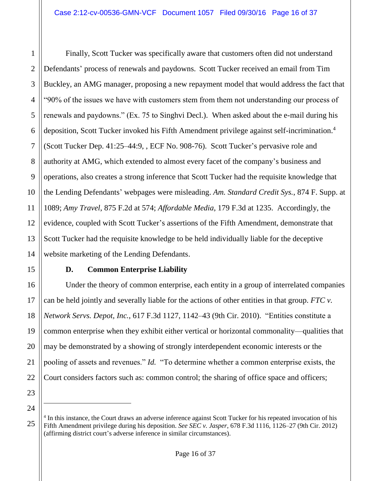1 2 3 4 5 6 7 8 9 10 11 12 13 14 Finally, Scott Tucker was specifically aware that customers often did not understand Defendants' process of renewals and paydowns. Scott Tucker received an email from Tim Buckley, an AMG manager, proposing a new repayment model that would address the fact that "90% of the issues we have with customers stem from them not understanding our process of renewals and paydowns." (Ex. 75 to Singhvi Decl.). When asked about the e-mail during his deposition, Scott Tucker invoked his Fifth Amendment privilege against self-incrimination.<sup>4</sup> (Scott Tucker Dep. 41:25–44:9, , ECF No. 908-76). Scott Tucker's pervasive role and authority at AMG, which extended to almost every facet of the company's business and operations, also creates a strong inference that Scott Tucker had the requisite knowledge that the Lending Defendants' webpages were misleading. *Am. Standard Credit Sys.*, 874 F. Supp. at 1089; *Amy Travel*, 875 F.2d at 574; *Affordable Media*, 179 F.3d at 1235. Accordingly, the evidence, coupled with Scott Tucker's assertions of the Fifth Amendment, demonstrate that Scott Tucker had the requisite knowledge to be held individually liable for the deceptive website marketing of the Lending Defendants.

15

16

17

18

19

20

21

22

#### **D. Common Enterprise Liability**

Under the theory of common enterprise, each entity in a group of interrelated companies can be held jointly and severally liable for the actions of other entities in that group. *FTC v. Network Servs. Depot, Inc.*, 617 F.3d 1127, 1142–43 (9th Cir. 2010). "Entities constitute a common enterprise when they exhibit either vertical or horizontal commonality—qualities that may be demonstrated by a showing of strongly interdependent economic interests or the pooling of assets and revenues." *Id.* "To determine whether a common enterprise exists, the Court considers factors such as: common control; the sharing of office space and officers;

23 24

<sup>25</sup> <sup>4</sup> In this instance, the Court draws an adverse inference against Scott Tucker for his repeated invocation of his Fifth Amendment privilege during his deposition. *See SEC v. Jasper*, 678 F.3d 1116, 1126–27 (9th Cir. 2012) (affirming district court's adverse inference in similar circumstances).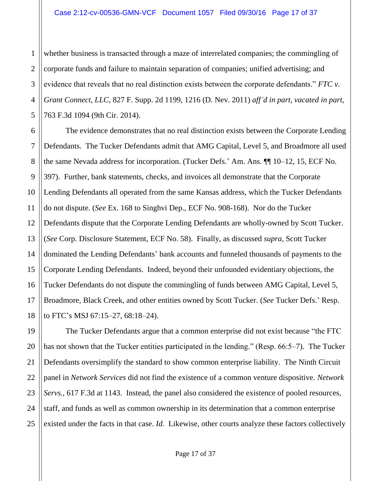1 2 whether business is transacted through a maze of interrelated companies; the commingling of corporate funds and failure to maintain separation of companies; unified advertising; and evidence that reveals that no real distinction exists between the corporate defendants." *FTC v. Grant Connect, LLC*, 827 F. Supp. 2d 1199, 1216 (D. Nev. 2011) *aff'd in part, vacated in part*, 763 F.3d 1094 (9th Cir. 2014).

The evidence demonstrates that no real distinction exists between the Corporate Lending Defendants. The Tucker Defendants admit that AMG Capital, Level 5, and Broadmore all used the same Nevada address for incorporation. (Tucker Defs.' Am. Ans. ¶¶ 10–12, 15, ECF No. 397). Further, bank statements, checks, and invoices all demonstrate that the Corporate Lending Defendants all operated from the same Kansas address, which the Tucker Defendants do not dispute. (*See* Ex. 168 to Singhvi Dep., ECF No. 908-168). Nor do the Tucker Defendants dispute that the Corporate Lending Defendants are wholly-owned by Scott Tucker. (*See* Corp. Disclosure Statement, ECF No. 58). Finally, as discussed *supra*, Scott Tucker dominated the Lending Defendants' bank accounts and funneled thousands of payments to the Corporate Lending Defendants. Indeed, beyond their unfounded evidentiary objections, the Tucker Defendants do not dispute the commingling of funds between AMG Capital, Level 5, Broadmore, Black Creek, and other entities owned by Scott Tucker. (*See* Tucker Defs.' Resp. to FTC's MSJ 67:15–27, 68:18–24).

The Tucker Defendants argue that a common enterprise did not exist because "the FTC has not shown that the Tucker entities participated in the lending." (Resp. 66:5–7). The Tucker Defendants oversimplify the standard to show common enterprise liability. The Ninth Circuit panel in *Network Services* did not find the existence of a common venture dispositive. *Network Servs.*, 617 F.3d at 1143. Instead, the panel also considered the existence of pooled resources, staff, and funds as well as common ownership in its determination that a common enterprise existed under the facts in that case. *Id.* Likewise, other courts analyze these factors collectively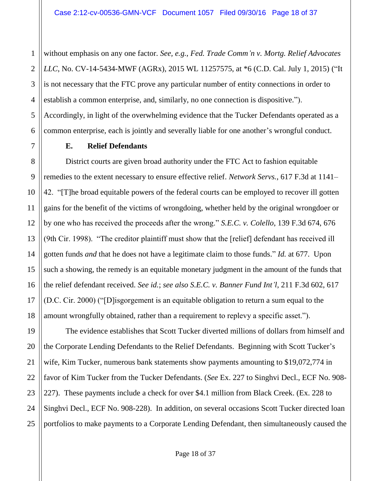1 without emphasis on any one factor. *See, e.g.*, *Fed. Trade Comm'n v. Mortg. Relief Advocates LLC*, No. CV-14-5434-MWF (AGRx), 2015 WL 11257575, at \*6 (C.D. Cal. July 1, 2015) ("It is not necessary that the FTC prove any particular number of entity connections in order to establish a common enterprise, and, similarly, no one connection is dispositive."). Accordingly, in light of the overwhelming evidence that the Tucker Defendants operated as a common enterprise, each is jointly and severally liable for one another's wrongful conduct.

## **E. Relief Defendants**

District courts are given broad authority under the FTC Act to fashion equitable remedies to the extent necessary to ensure effective relief. *Network Servs.*, 617 F.3d at 1141– 42. "[T]he broad equitable powers of the federal courts can be employed to recover ill gotten gains for the benefit of the victims of wrongdoing, whether held by the original wrongdoer or by one who has received the proceeds after the wrong." *S.E.C. v. Colello*, 139 F.3d 674, 676 (9th Cir. 1998). "The creditor plaintiff must show that the [relief] defendant has received ill gotten funds *and* that he does not have a legitimate claim to those funds." *Id.* at 677. Upon such a showing, the remedy is an equitable monetary judgment in the amount of the funds that the relief defendant received. *See id.*; *see also S.E.C. v. Banner Fund Int'l*, 211 F.3d 602, 617 (D.C. Cir. 2000) ("[D]isgorgement is an equitable obligation to return a sum equal to the amount wrongfully obtained, rather than a requirement to replevy a specific asset.").

The evidence establishes that Scott Tucker diverted millions of dollars from himself and the Corporate Lending Defendants to the Relief Defendants. Beginning with Scott Tucker's wife, Kim Tucker, numerous bank statements show payments amounting to \$19,072,774 in favor of Kim Tucker from the Tucker Defendants. (*See* Ex. 227 to Singhvi Decl., ECF No. 908- 227). These payments include a check for over \$4.1 million from Black Creek. (Ex. 228 to Singhvi Decl., ECF No. 908-228). In addition, on several occasions Scott Tucker directed loan portfolios to make payments to a Corporate Lending Defendant, then simultaneously caused the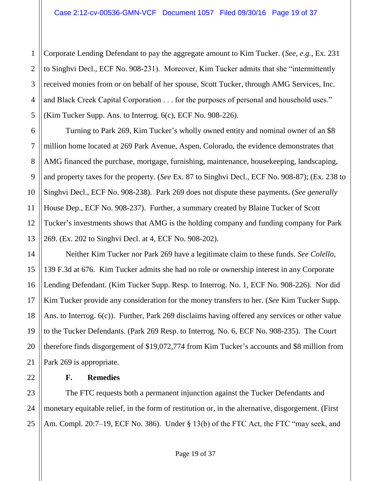2 Corporate Lending Defendant to pay the aggregate amount to Kim Tucker. (*See, e.g.*, Ex. 231 to Singhvi Decl., ECF No. 908-231). Moreover, Kim Tucker admits that she "intermittently received monies from or on behalf of her spouse, Scott Tucker, through AMG Services, Inc. and Black Creek Capital Corporation . . . for the purposes of personal and household uses." (Kim Tucker Supp. Ans. to Interrog. 6(c), ECF No. 908-226).

Turning to Park 269, Kim Tucker's wholly owned entity and nominal owner of an \$8 million home located at 269 Park Avenue, Aspen, Colorado, the evidence demonstrates that AMG financed the purchase, mortgage, furnishing, maintenance, housekeeping, landscaping, and property taxes for the property. (*See* Ex. 87 to Singhvi Decl., ECF No. 908-87); (Ex. 238 to Singhvi Decl., ECF No. 908-238). Park 269 does not dispute these payments. (*See generally* House Dep., ECF No. 908-237). Further, a summary created by Blaine Tucker of Scott Tucker's investments shows that AMG is the holding company and funding company for Park 269. (Ex. 202 to Singhvi Decl. at 4, ECF No. 908-202).

Neither Kim Tucker nor Park 269 have a legitimate claim to these funds. *See Colello*, 139 F.3d at 676. Kim Tucker admits she had no role or ownership interest in any Corporate Lending Defendant. (Kim Tucker Supp. Resp. to Interrog. No. 1, ECF No. 908-226). Nor did Kim Tucker provide any consideration for the money transfers to her. (*See* Kim Tucker Supp. Ans. to Interrog. 6(c)). Further, Park 269 disclaims having offered any services or other value to the Tucker Defendants. (Park 269 Resp. to Interrog. No. 6, ECF No. 908-235). The Court therefore finds disgorgement of \$19,072,774 from Kim Tucker's accounts and \$8 million from Park 269 is appropriate.

**F. Remedies**

The FTC requests both a permanent injunction against the Tucker Defendants and monetary equitable relief, in the form of restitution or, in the alternative, disgorgement. (First Am. Compl. 20:7–19, ECF No. 386). Under § 13(b) of the FTC Act, the FTC "may seek, and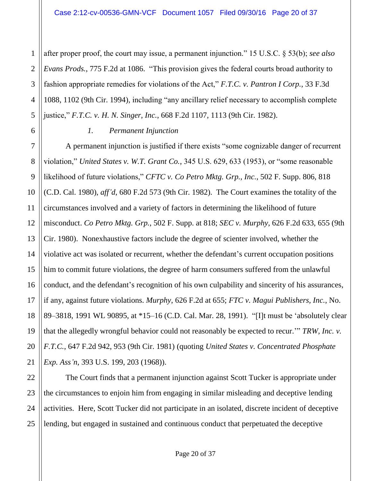3 4 after proper proof, the court may issue, a permanent injunction." 15 U.S.C. § 53(b); *see also Evans Prods.*, 775 F.2d at 1086. "This provision gives the federal courts broad authority to fashion appropriate remedies for violations of the Act," *F.T.C. v. Pantron I Corp.*, 33 F.3d 1088, 1102 (9th Cir. 1994), including "any ancillary relief necessary to accomplish complete justice," *F.T.C. v. H. N. Singer, Inc.*, 668 F.2d 1107, 1113 (9th Cir. 1982).

1

2

5

6

11

22

23

24

25

#### *1. Permanent Injunction*

7 8 9 10 12 13 14 15 16 17 18 19 20 21 A permanent injunction is justified if there exists "some cognizable danger of recurrent violation," *United States v. W.T. Grant Co.*, 345 U.S. 629, 633 (1953), or "some reasonable likelihood of future violations," *CFTC v. Co Petro Mktg. Grp., Inc.*, 502 F. Supp. 806, 818 (C.D. Cal. 1980), *aff'd*, 680 F.2d 573 (9th Cir. 1982). The Court examines the totality of the circumstances involved and a variety of factors in determining the likelihood of future misconduct. *Co Petro Mktg. Grp.*, 502 F. Supp. at 818; *SEC v. Murphy*, 626 F.2d 633, 655 (9th Cir. 1980). Nonexhaustive factors include the degree of scienter involved, whether the violative act was isolated or recurrent, whether the defendant's current occupation positions him to commit future violations, the degree of harm consumers suffered from the unlawful conduct, and the defendant's recognition of his own culpability and sincerity of his assurances, if any, against future violations. *Murphy*, 626 F.2d at 655; *FTC v. Magui Publishers, Inc.*, No. 89–3818, 1991 WL 90895, at \*15–16 (C.D. Cal. Mar. 28, 1991). "[I]t must be 'absolutely clear that the allegedly wrongful behavior could not reasonably be expected to recur.'" *TRW, Inc. v. F.T.C.*, 647 F.2d 942, 953 (9th Cir. 1981) (quoting *United States v. Concentrated Phosphate Exp. Ass'n*, 393 U.S. 199, 203 (1968)).

The Court finds that a permanent injunction against Scott Tucker is appropriate under the circumstances to enjoin him from engaging in similar misleading and deceptive lending activities. Here, Scott Tucker did not participate in an isolated, discrete incident of deceptive lending, but engaged in sustained and continuous conduct that perpetuated the deceptive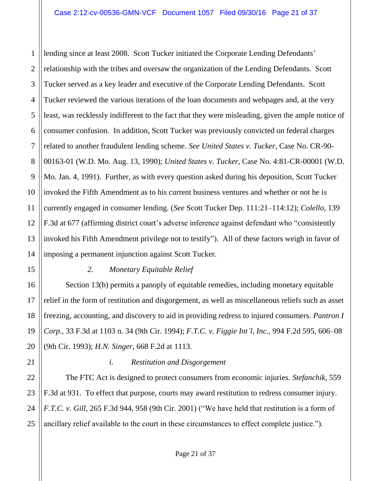1 2 3 4 5 6 7 8 9 10 11 12 13 14 lending since at least 2008. Scott Tucker initiated the Corporate Lending Defendants' relationship with the tribes and oversaw the organization of the Lending Defendants. Scott Tucker served as a key leader and executive of the Corporate Lending Defendants. Scott Tucker reviewed the various iterations of the loan documents and webpages and, at the very least, was recklessly indifferent to the fact that they were misleading, given the ample notice of consumer confusion. In addition, Scott Tucker was previously convicted on federal charges related to another fraudulent lending scheme. *See United States v. Tucker*, Case No. CR-90- 00163-01 (W.D. Mo. Aug. 13, 1990); *United States v. Tucker*, Case No. 4:81-CR-00001 (W.D. Mo. Jan. 4, 1991). Further, as with every question asked during his deposition, Scott Tucker invoked the Fifth Amendment as to his current business ventures and whether or not he is currently engaged in consumer lending. (*See* Scott Tucker Dep. 111:21–114:12); *Colello*, 139 F.3d at 677 (affirming district court's adverse inference against defendant who "consistently invoked his Fifth Amendment privilege not to testify"). All of these factors weigh in favor of imposing a permanent injunction against Scott Tucker.

15

16

#### *2. Monetary Equitable Relief*

Section 13(b) permits a panoply of equitable remedies, including monetary equitable relief in the form of restitution and disgorgement, as well as miscellaneous reliefs such as asset freezing, accounting, and discovery to aid in providing redress to injured consumers. *Pantron I Corp.*, 33 F.3d at 1103 n. 34 (9th Cir. 1994); *F.T.C. v. Figgie Int'l, Inc.*, 994 F.2d 595, 606–08 (9th Cir. 1993); *H.N. Singer*, 668 F.2d at 1113.

24

25

#### *i. Restitution and Disgorgement*

The FTC Act is designed to protect consumers from economic injuries. *Stefanchik*, 559 F.3d at 931. To effect that purpose, courts may award restitution to redress consumer injury. *F.T.C. v. Gill*, 265 F.3d 944, 958 (9th Cir. 2001) ("We have held that restitution is a form of ancillary relief available to the court in these circumstances to effect complete justice.").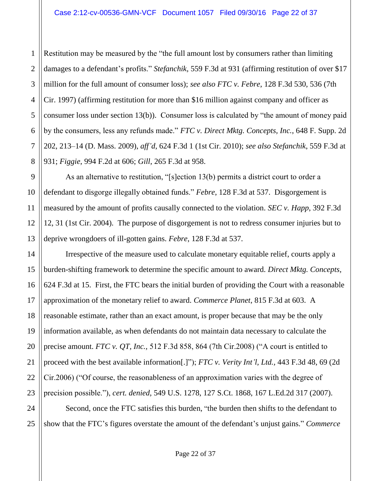1 2 Restitution may be measured by the "the full amount lost by consumers rather than limiting damages to a defendant's profits." *Stefanchik*, 559 F.3d at 931 (affirming restitution of over \$17 million for the full amount of consumer loss); *see also FTC v. Febre*, 128 F.3d 530, 536 (7th Cir. 1997) (affirming restitution for more than \$16 million against company and officer as consumer loss under section 13(b)). Consumer loss is calculated by "the amount of money paid by the consumers, less any refunds made." *FTC v. Direct Mktg. Concepts, Inc.*, 648 F. Supp. 2d 202, 213–14 (D. Mass. 2009), *aff'd*, 624 F.3d 1 (1st Cir. 2010); *see also Stefanchik*, 559 F.3d at 931; *Figgie*, 994 F.2d at 606; *Gill*, 265 F.3d at 958.

As an alternative to restitution, "[s]ection 13(b) permits a district court to order a defendant to disgorge illegally obtained funds." *Febre*, 128 F.3d at 537. Disgorgement is measured by the amount of profits causally connected to the violation. *SEC v. Happ*, 392 F.3d 12, 31 (1st Cir. 2004). The purpose of disgorgement is not to redress consumer injuries but to deprive wrongdoers of ill-gotten gains. *Febre*, 128 F.3d at 537.

Irrespective of the measure used to calculate monetary equitable relief, courts apply a burden-shifting framework to determine the specific amount to award. *Direct Mktg. Concepts,* 624 F.3d at 15. First, the FTC bears the initial burden of providing the Court with a reasonable approximation of the monetary relief to award. *Commerce Planet*, 815 F.3d at 603. A reasonable estimate, rather than an exact amount, is proper because that may be the only information available, as when defendants do not maintain data necessary to calculate the precise amount. *FTC v. QT, Inc.,* 512 F.3d 858, 864 (7th Cir.2008) ("A court is entitled to proceed with the best available information[.]"); *FTC v. Verity Int'l, Ltd.,* 443 F.3d 48, 69 (2d Cir.2006) ("Of course, the reasonableness of an approximation varies with the degree of precision possible."), *cert. denied,* 549 U.S. 1278, 127 S.Ct. 1868, 167 L.Ed.2d 317 (2007).

Second, once the FTC satisfies this burden, "the burden then shifts to the defendant to show that the FTC's figures overstate the amount of the defendant's unjust gains." *Commerce*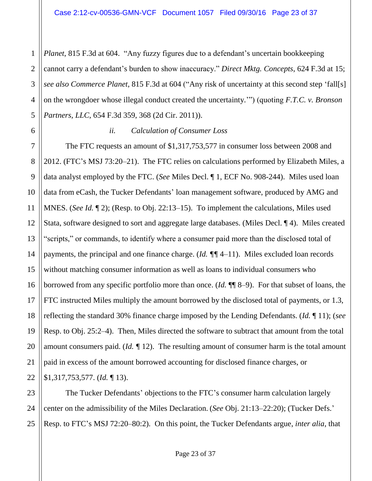1 2 3 4 5 *Planet*, 815 F.3d at 604. "Any fuzzy figures due to a defendant's uncertain bookkeeping cannot carry a defendant's burden to show inaccuracy." *Direct Mktg. Concepts*, 624 F.3d at 15; *see also Commerce Planet*, 815 F.3d at 604 ("Any risk of uncertainty at this second step 'fall[s] on the wrongdoer whose illegal conduct created the uncertainty.'") (quoting *F.T.C. v. Bronson Partners, LLC*, 654 F.3d 359, 368 (2d Cir. 2011)).

6

7

11

21

#### *ii. Calculation of Consumer Loss*

8 9 10 12 13 14 15 16 17 18 19 20 22 The FTC requests an amount of \$1,317,753,577 in consumer loss between 2008 and 2012. (FTC's MSJ 73:20–21). The FTC relies on calculations performed by Elizabeth Miles, a data analyst employed by the FTC. (*See* Miles Decl. ¶ 1, ECF No. 908-244). Miles used loan data from eCash, the Tucker Defendants' loan management software, produced by AMG and MNES. (*See Id.* ¶ 2); (Resp. to Obj. 22:13–15). To implement the calculations, Miles used Stata, software designed to sort and aggregate large databases. (Miles Decl. ¶ 4). Miles created "scripts," or commands, to identify where a consumer paid more than the disclosed total of payments, the principal and one finance charge. (*Id. ¶¶* 4–11). Miles excluded loan records without matching consumer information as well as loans to individual consumers who borrowed from any specific portfolio more than once. (*Id.* ¶¶ 8–9). For that subset of loans, the FTC instructed Miles multiply the amount borrowed by the disclosed total of payments, or 1.3, reflecting the standard 30% finance charge imposed by the Lending Defendants. (*Id.* ¶ 11); (*see*  Resp. to Obj. 25:2–4). Then, Miles directed the software to subtract that amount from the total amount consumers paid. (*Id. ¶* 12). The resulting amount of consumer harm is the total amount paid in excess of the amount borrowed accounting for disclosed finance charges, or \$1,317,753,577. (*Id.* ¶ 13).

23 24 25 The Tucker Defendants' objections to the FTC's consumer harm calculation largely center on the admissibility of the Miles Declaration. (*See* Obj. 21:13–22:20); (Tucker Defs.' Resp. to FTC's MSJ 72:20–80:2). On this point, the Tucker Defendants argue, *inter alia*, that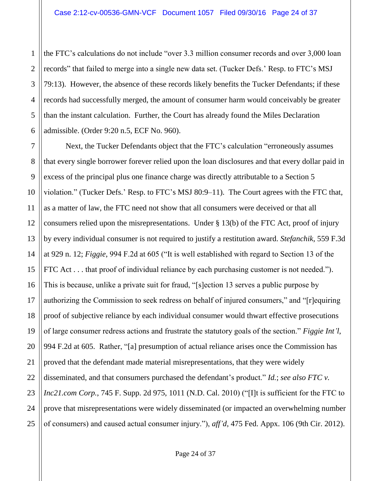1 2 3 4 5 6 the FTC's calculations do not include "over 3.3 million consumer records and over 3,000 loan records" that failed to merge into a single new data set. (Tucker Defs.' Resp. to FTC's MSJ 79:13). However, the absence of these records likely benefits the Tucker Defendants; if these records had successfully merged, the amount of consumer harm would conceivably be greater than the instant calculation. Further, the Court has already found the Miles Declaration admissible. (Order 9:20 n.5, ECF No. 960).

7

8

9

10

11

12

13

14

15

16

17

18

19

20

21

22

23

24

25

Next, the Tucker Defendants object that the FTC's calculation "erroneously assumes that every single borrower forever relied upon the loan disclosures and that every dollar paid in excess of the principal plus one finance charge was directly attributable to a Section 5 violation." (Tucker Defs.' Resp. to FTC's MSJ 80:9–11). The Court agrees with the FTC that, as a matter of law, the FTC need not show that all consumers were deceived or that all consumers relied upon the misrepresentations. Under § 13(b) of the FTC Act, proof of injury by every individual consumer is not required to justify a restitution award. *Stefanchik*, 559 F.3d at 929 n. 12; *Figgie*, 994 F.2d at 605 ("It is well established with regard to Section 13 of the FTC Act . . . that proof of individual reliance by each purchasing customer is not needed."). This is because, unlike a private suit for fraud, "[s]ection 13 serves a public purpose by authorizing the Commission to seek redress on behalf of injured consumers," and "[r]equiring proof of subjective reliance by each individual consumer would thwart effective prosecutions of large consumer redress actions and frustrate the statutory goals of the section." *Figgie Int'l*, 994 F.2d at 605. Rather, "[a] presumption of actual reliance arises once the Commission has proved that the defendant made material misrepresentations, that they were widely disseminated, and that consumers purchased the defendant's product." *Id.*; *see also FTC v. Inc21.com Corp.*, 745 F. Supp. 2d 975, 1011 (N.D. Cal. 2010) ("[I]t is sufficient for the FTC to prove that misrepresentations were widely disseminated (or impacted an overwhelming number of consumers) and caused actual consumer injury."), *aff'd*, 475 Fed. Appx. 106 (9th Cir. 2012).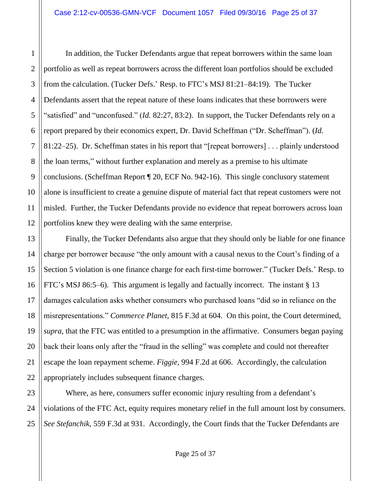1 In addition, the Tucker Defendants argue that repeat borrowers within the same loan portfolio as well as repeat borrowers across the different loan portfolios should be excluded from the calculation. (Tucker Defs.' Resp. to FTC's MSJ 81:21–84:19). The Tucker Defendants assert that the repeat nature of these loans indicates that these borrowers were "satisfied" and "unconfused." (*Id.* 82:27, 83:2). In support, the Tucker Defendants rely on a report prepared by their economics expert, Dr. David Scheffman ("Dr. Scheffman"). (*Id.*  81:22–25). Dr. Scheffman states in his report that "[repeat borrowers] . . . plainly understood the loan terms," without further explanation and merely as a premise to his ultimate conclusions. (Scheffman Report ¶ 20, ECF No. 942-16). This single conclusory statement alone is insufficient to create a genuine dispute of material fact that repeat customers were not misled. Further, the Tucker Defendants provide no evidence that repeat borrowers across loan portfolios knew they were dealing with the same enterprise.

Finally, the Tucker Defendants also argue that they should only be liable for one finance charge per borrower because "the only amount with a causal nexus to the Court's finding of a Section 5 violation is one finance charge for each first-time borrower." (Tucker Defs.' Resp. to FTC's MSJ 86:5–6). This argument is legally and factually incorrect. The instant § 13 damages calculation asks whether consumers who purchased loans "did so in reliance on the misrepresentations." *Commerce Planet*, 815 F.3d at 604. On this point, the Court determined, *supra*, that the FTC was entitled to a presumption in the affirmative. Consumers began paying back their loans only after the "fraud in the selling" was complete and could not thereafter escape the loan repayment scheme. *Figgie*, 994 F.2d at 606. Accordingly, the calculation appropriately includes subsequent finance charges.

Where, as here, consumers suffer economic injury resulting from a defendant's violations of the FTC Act, equity requires monetary relief in the full amount lost by consumers. *See Stefanchik*, 559 F.3d at 931. Accordingly, the Court finds that the Tucker Defendants are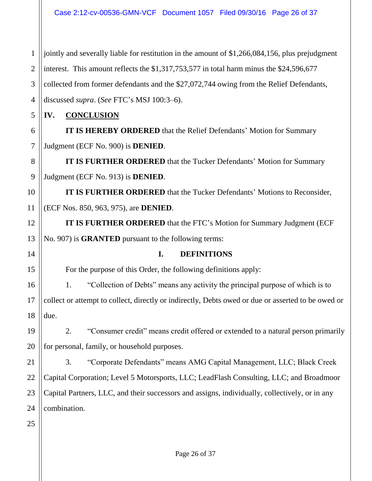1 2 3 4 jointly and severally liable for restitution in the amount of \$1,266,084,156, plus prejudgment interest. This amount reflects the \$1,317,753,577 in total harm minus the \$24,596,677 collected from former defendants and the \$27,072,744 owing from the Relief Defendants, discussed *supra*. (*See* FTC's MSJ 100:3–6).

**IV. CONCLUSION**

6 7 **IT IS HEREBY ORDERED** that the Relief Defendants' Motion for Summary Judgment (ECF No. 900) is **DENIED**.

**IT IS FURTHER ORDERED** that the Tucker Defendants' Motion for Summary Judgment (ECF No. 913) is **DENIED**.

**IT IS FURTHER ORDERED** that the Tucker Defendants' Motions to Reconsider, (ECF Nos. 850, 963, 975), are **DENIED**.

**IT IS FURTHER ORDERED** that the FTC's Motion for Summary Judgment (ECF No. 907) is **GRANTED** pursuant to the following terms:

#### **I. DEFINITIONS**

For the purpose of this Order, the following definitions apply:

1. "Collection of Debts" means any activity the principal purpose of which is to collect or attempt to collect, directly or indirectly, Debts owed or due or asserted to be owed or due.

2. "Consumer credit" means credit offered or extended to a natural person primarily for personal, family, or household purposes.

3. "Corporate Defendants" means AMG Capital Management, LLC; Black Creek Capital Corporation; Level 5 Motorsports, LLC; LeadFlash Consulting, LLC; and Broadmoor Capital Partners, LLC, and their successors and assigns, individually, collectively, or in any combination.

25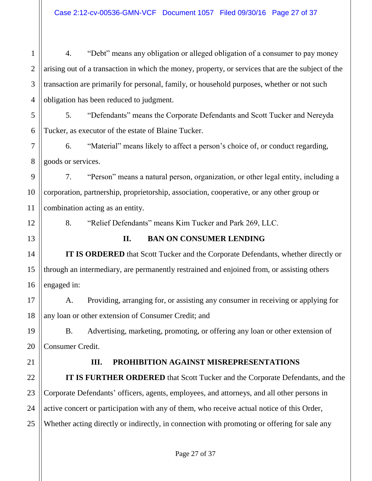1 2 3 4 4. "Debt" means any obligation or alleged obligation of a consumer to pay money arising out of a transaction in which the money, property, or services that are the subject of the transaction are primarily for personal, family, or household purposes, whether or not such obligation has been reduced to judgment.

6 5. "Defendants" means the Corporate Defendants and Scott Tucker and Nereyda Tucker, as executor of the estate of Blaine Tucker.

6. "Material" means likely to affect a person's choice of, or conduct regarding, goods or services.

7. "Person" means a natural person, organization, or other legal entity, including a corporation, partnership, proprietorship, association, cooperative, or any other group or combination acting as an entity.

8. "Relief Defendants" means Kim Tucker and Park 269, LLC.

5

7

8

9

10

11

12

14

15

16

17

18

19

20

22

13

## **II. BAN ON CONSUMER LENDING**

**IT IS ORDERED** that Scott Tucker and the Corporate Defendants, whether directly or through an intermediary, are permanently restrained and enjoined from, or assisting others engaged in:

A. Providing, arranging for, or assisting any consumer in receiving or applying for any loan or other extension of Consumer Credit; and

B. Advertising, marketing, promoting, or offering any loan or other extension of Consumer Credit.

21

## **III. PROHIBITION AGAINST MISREPRESENTATIONS**

23 24 25 **IT IS FURTHER ORDERED** that Scott Tucker and the Corporate Defendants, and the Corporate Defendants' officers, agents, employees, and attorneys, and all other persons in active concert or participation with any of them, who receive actual notice of this Order, Whether acting directly or indirectly, in connection with promoting or offering for sale any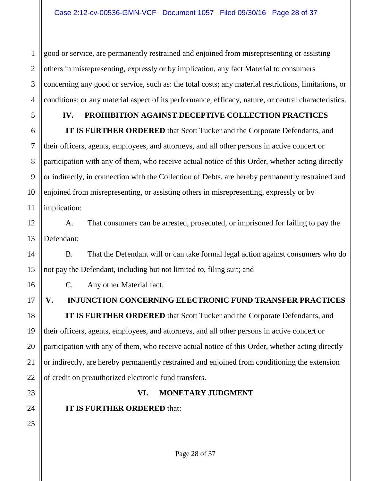1 2 3 4 good or service, are permanently restrained and enjoined from misrepresenting or assisting others in misrepresenting, expressly or by implication, any fact Material to consumers concerning any good or service, such as: the total costs; any material restrictions, limitations, or conditions; or any material aspect of its performance, efficacy, nature, or central characteristics.

5

6

## **IV. PROHIBITION AGAINST DECEPTIVE COLLECTION PRACTICES**

**IT IS FURTHER ORDERED** that Scott Tucker and the Corporate Defendants, and their officers, agents, employees, and attorneys, and all other persons in active concert or participation with any of them, who receive actual notice of this Order, whether acting directly or indirectly, in connection with the Collection of Debts, are hereby permanently restrained and enjoined from misrepresenting, or assisting others in misrepresenting, expressly or by implication:

A. That consumers can be arrested, prosecuted, or imprisoned for failing to pay the Defendant;

B. That the Defendant will or can take formal legal action against consumers who do not pay the Defendant, including but not limited to, filing suit; and

C. Any other Material fact.

**V. INJUNCTION CONCERNING ELECTRONIC FUND TRANSFER PRACTICES IT IS FURTHER ORDERED** that Scott Tucker and the Corporate Defendants, and their officers, agents, employees, and attorneys, and all other persons in active concert or participation with any of them, who receive actual notice of this Order, whether acting directly or indirectly, are hereby permanently restrained and enjoined from conditioning the extension of credit on preauthorized electronic fund transfers.

## **VI. MONETARY JUDGMENT**

**IT IS FURTHER ORDERED** that: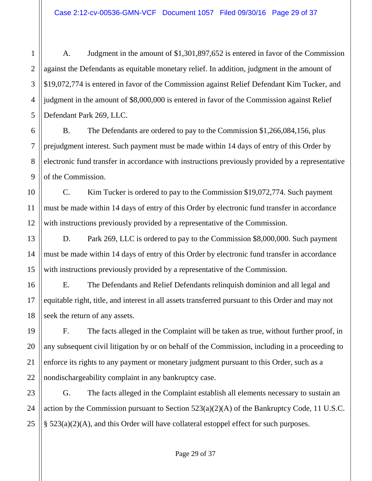1 2 3 4 5 A. Judgment in the amount of \$1,301,897,652 is entered in favor of the Commission against the Defendants as equitable monetary relief. In addition, judgment in the amount of \$19,072,774 is entered in favor of the Commission against Relief Defendant Kim Tucker, and judgment in the amount of \$8,000,000 is entered in favor of the Commission against Relief Defendant Park 269, LLC.

B. The Defendants are ordered to pay to the Commission \$1,266,084,156, plus prejudgment interest. Such payment must be made within 14 days of entry of this Order by electronic fund transfer in accordance with instructions previously provided by a representative of the Commission.

C. Kim Tucker is ordered to pay to the Commission \$19,072,774. Such payment must be made within 14 days of entry of this Order by electronic fund transfer in accordance with instructions previously provided by a representative of the Commission.

D. Park 269, LLC is ordered to pay to the Commission \$8,000,000. Such payment must be made within 14 days of entry of this Order by electronic fund transfer in accordance with instructions previously provided by a representative of the Commission.

E. The Defendants and Relief Defendants relinquish dominion and all legal and equitable right, title, and interest in all assets transferred pursuant to this Order and may not seek the return of any assets.

F. The facts alleged in the Complaint will be taken as true, without further proof, in any subsequent civil litigation by or on behalf of the Commission, including in a proceeding to enforce its rights to any payment or monetary judgment pursuant to this Order, such as a nondischargeability complaint in any bankruptcy case.

G. The facts alleged in the Complaint establish all elements necessary to sustain an action by the Commission pursuant to Section 523(a)(2)(A) of the Bankruptcy Code, 11 U.S.C. § 523(a)(2)(A), and this Order will have collateral estoppel effect for such purposes.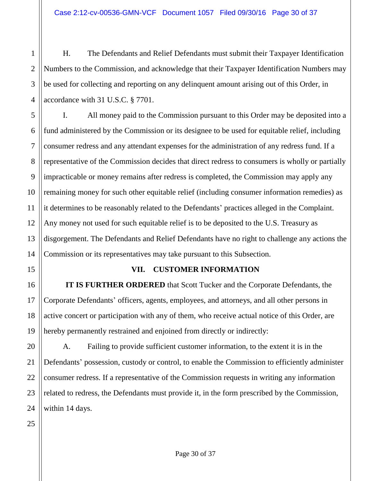1 2 3 4 H. The Defendants and Relief Defendants must submit their Taxpayer Identification Numbers to the Commission, and acknowledge that their Taxpayer Identification Numbers may be used for collecting and reporting on any delinquent amount arising out of this Order, in accordance with 31 U.S.C. § 7701.

5 I. All money paid to the Commission pursuant to this Order may be deposited into a fund administered by the Commission or its designee to be used for equitable relief, including consumer redress and any attendant expenses for the administration of any redress fund. If a representative of the Commission decides that direct redress to consumers is wholly or partially impracticable or money remains after redress is completed, the Commission may apply any remaining money for such other equitable relief (including consumer information remedies) as it determines to be reasonably related to the Defendants' practices alleged in the Complaint. Any money not used for such equitable relief is to be deposited to the U.S. Treasury as disgorgement. The Defendants and Relief Defendants have no right to challenge any actions the Commission or its representatives may take pursuant to this Subsection.

#### **VII. CUSTOMER INFORMATION**

**IT IS FURTHER ORDERED** that Scott Tucker and the Corporate Defendants, the Corporate Defendants' officers, agents, employees, and attorneys, and all other persons in active concert or participation with any of them, who receive actual notice of this Order, are hereby permanently restrained and enjoined from directly or indirectly:

A. Failing to provide sufficient customer information, to the extent it is in the Defendants' possession, custody or control, to enable the Commission to efficiently administer consumer redress. If a representative of the Commission requests in writing any information related to redress, the Defendants must provide it, in the form prescribed by the Commission, within 14 days.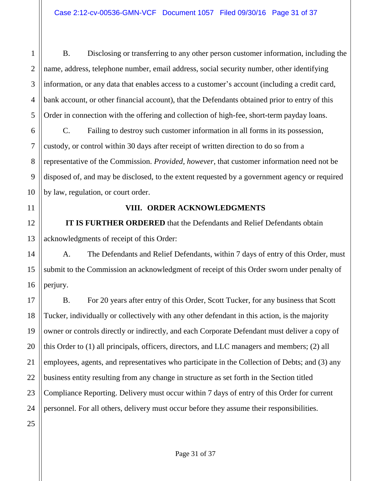B. Disclosing or transferring to any other person customer information, including the name, address, telephone number, email address, social security number, other identifying information, or any data that enables access to a customer's account (including a credit card, bank account, or other financial account), that the Defendants obtained prior to entry of this Order in connection with the offering and collection of high-fee, short-term payday loans.

C. Failing to destroy such customer information in all forms in its possession, custody, or control within 30 days after receipt of written direction to do so from a representative of the Commission. *Provided, however*, that customer information need not be disposed of, and may be disclosed, to the extent requested by a government agency or required by law, regulation, or court order.

## **VIII. ORDER ACKNOWLEDGMENTS**

**IT IS FURTHER ORDERED** that the Defendants and Relief Defendants obtain acknowledgments of receipt of this Order:

A. The Defendants and Relief Defendants, within 7 days of entry of this Order, must submit to the Commission an acknowledgment of receipt of this Order sworn under penalty of perjury.

B. For 20 years after entry of this Order, Scott Tucker, for any business that Scott Tucker, individually or collectively with any other defendant in this action, is the majority owner or controls directly or indirectly, and each Corporate Defendant must deliver a copy of this Order to (1) all principals, officers, directors, and LLC managers and members; (2) all employees, agents, and representatives who participate in the Collection of Debts; and (3) any business entity resulting from any change in structure as set forth in the Section titled Compliance Reporting. Delivery must occur within 7 days of entry of this Order for current personnel. For all others, delivery must occur before they assume their responsibilities.

1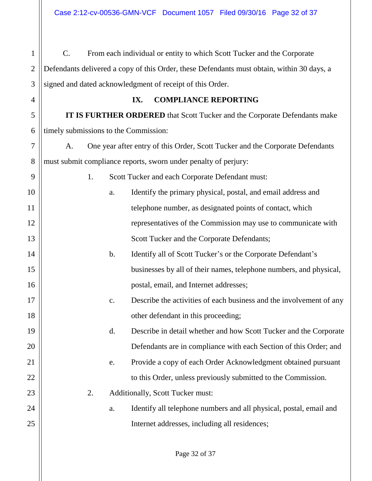| $\mathbf{1}$   | $\mathcal{C}$ .                                                                            |    |                | From each individual or entity to which Scott Tucker and the Corporate        |  |  |
|----------------|--------------------------------------------------------------------------------------------|----|----------------|-------------------------------------------------------------------------------|--|--|
| $\overline{2}$ | Defendants delivered a copy of this Order, these Defendants must obtain, within 30 days, a |    |                |                                                                               |  |  |
| 3              | signed and dated acknowledgment of receipt of this Order.                                  |    |                |                                                                               |  |  |
| 4              |                                                                                            |    |                | <b>COMPLIANCE REPORTING</b><br>IX.                                            |  |  |
| 5              |                                                                                            |    |                | IT IS FURTHER ORDERED that Scott Tucker and the Corporate Defendants make     |  |  |
| 6              |                                                                                            |    |                | timely submissions to the Commission:                                         |  |  |
| 7              | A.                                                                                         |    |                | One year after entry of this Order, Scott Tucker and the Corporate Defendants |  |  |
| 8              |                                                                                            |    |                | must submit compliance reports, sworn under penalty of perjury:               |  |  |
| 9              |                                                                                            | 1. |                | Scott Tucker and each Corporate Defendant must:                               |  |  |
| 10             |                                                                                            |    | a.             | Identify the primary physical, postal, and email address and                  |  |  |
| 11             |                                                                                            |    |                | telephone number, as designated points of contact, which                      |  |  |
| 12             |                                                                                            |    |                | representatives of the Commission may use to communicate with                 |  |  |
| 13             |                                                                                            |    |                | Scott Tucker and the Corporate Defendants;                                    |  |  |
| 14             |                                                                                            |    | b.             | Identify all of Scott Tucker's or the Corporate Defendant's                   |  |  |
| 15             |                                                                                            |    |                | businesses by all of their names, telephone numbers, and physical,            |  |  |
| 16             |                                                                                            |    |                | postal, email, and Internet addresses;                                        |  |  |
| 17             |                                                                                            |    | $\mathbf{c}$ . | Describe the activities of each business and the involvement of any           |  |  |
| 18             |                                                                                            |    |                | other defendant in this proceeding;                                           |  |  |
| 19             |                                                                                            |    | d.             | Describe in detail whether and how Scott Tucker and the Corporate             |  |  |
| 20             |                                                                                            |    |                | Defendants are in compliance with each Section of this Order; and             |  |  |
| 21             |                                                                                            |    | e.             | Provide a copy of each Order Acknowledgment obtained pursuant                 |  |  |
| 22             |                                                                                            |    |                | to this Order, unless previously submitted to the Commission.                 |  |  |
| 23             |                                                                                            | 2. |                | Additionally, Scott Tucker must:                                              |  |  |
| 24             |                                                                                            |    | a.             | Identify all telephone numbers and all physical, postal, email and            |  |  |
| 25             |                                                                                            |    |                | Internet addresses, including all residences;                                 |  |  |
|                |                                                                                            |    |                |                                                                               |  |  |
|                |                                                                                            |    |                |                                                                               |  |  |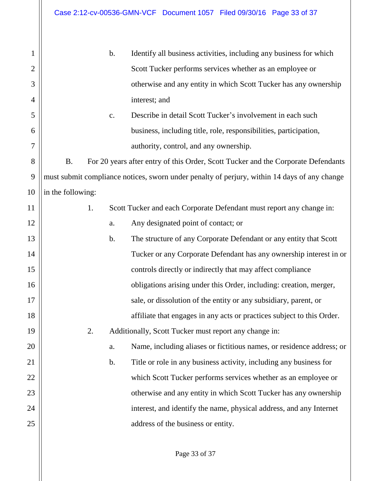| $\mathbf{1}$   |                                                                                              |    | b. | Identify all business activities, including any business for which                |  |
|----------------|----------------------------------------------------------------------------------------------|----|----|-----------------------------------------------------------------------------------|--|
| $\overline{2}$ |                                                                                              |    |    | Scott Tucker performs services whether as an employee or                          |  |
| 3              |                                                                                              |    |    | otherwise and any entity in which Scott Tucker has any ownership                  |  |
| 4              |                                                                                              |    |    | interest; and                                                                     |  |
| 5              |                                                                                              |    | c. | Describe in detail Scott Tucker's involvement in each such                        |  |
| 6              |                                                                                              |    |    | business, including title, role, responsibilities, participation,                 |  |
| 7              |                                                                                              |    |    | authority, control, and any ownership.                                            |  |
| 8              | <b>B.</b>                                                                                    |    |    | For 20 years after entry of this Order, Scott Tucker and the Corporate Defendants |  |
| 9              | must submit compliance notices, sworn under penalty of perjury, within 14 days of any change |    |    |                                                                                   |  |
| 10             | in the following:                                                                            |    |    |                                                                                   |  |
| 11             |                                                                                              | 1. |    | Scott Tucker and each Corporate Defendant must report any change in:              |  |
| 12             |                                                                                              |    | a. | Any designated point of contact; or                                               |  |
| 13             |                                                                                              |    | b. | The structure of any Corporate Defendant or any entity that Scott                 |  |
| 14             |                                                                                              |    |    | Tucker or any Corporate Defendant has any ownership interest in or                |  |
| 15             |                                                                                              |    |    | controls directly or indirectly that may affect compliance                        |  |
| 16             |                                                                                              |    |    | obligations arising under this Order, including: creation, merger,                |  |
| 17             |                                                                                              |    |    | sale, or dissolution of the entity or any subsidiary, parent, or                  |  |
| 18             |                                                                                              |    |    | affiliate that engages in any acts or practices subject to this Order.            |  |
| 19             |                                                                                              | 2. |    | Additionally, Scott Tucker must report any change in:                             |  |
| 20             |                                                                                              |    | a. | Name, including aliases or fictitious names, or residence address; or             |  |
| 21             |                                                                                              |    | b. | Title or role in any business activity, including any business for                |  |
| 22             |                                                                                              |    |    | which Scott Tucker performs services whether as an employee or                    |  |
| 23             |                                                                                              |    |    | otherwise and any entity in which Scott Tucker has any ownership                  |  |
| 24             |                                                                                              |    |    | interest, and identify the name, physical address, and any Internet               |  |
| 25             |                                                                                              |    |    | address of the business or entity.                                                |  |
|                |                                                                                              |    |    |                                                                                   |  |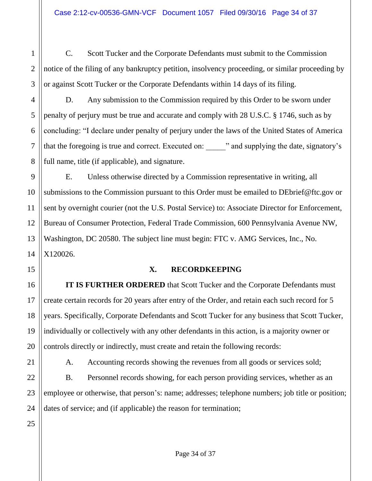C. Scott Tucker and the Corporate Defendants must submit to the Commission notice of the filing of any bankruptcy petition, insolvency proceeding, or similar proceeding by or against Scott Tucker or the Corporate Defendants within 14 days of its filing.

4

1

2

3

D. Any submission to the Commission required by this Order to be sworn under penalty of perjury must be true and accurate and comply with 28 U.S.C. § 1746, such as by concluding: "I declare under penalty of perjury under the laws of the United States of America that the foregoing is true and correct. Executed on: \_\_\_\_\_" and supplying the date, signatory's full name, title (if applicable), and signature.

E. Unless otherwise directed by a Commission representative in writing, all submissions to the Commission pursuant to this Order must be emailed to DEbrief@ftc.gov or sent by overnight courier (not the U.S. Postal Service) to: Associate Director for Enforcement, Bureau of Consumer Protection, Federal Trade Commission, 600 Pennsylvania Avenue NW, Washington, DC 20580. The subject line must begin: FTC v. AMG Services, Inc., No. X120026.

## **X. RECORDKEEPING**

**IT IS FURTHER ORDERED** that Scott Tucker and the Corporate Defendants must create certain records for 20 years after entry of the Order, and retain each such record for 5 years. Specifically, Corporate Defendants and Scott Tucker for any business that Scott Tucker, individually or collectively with any other defendants in this action, is a majority owner or controls directly or indirectly, must create and retain the following records:

A. Accounting records showing the revenues from all goods or services sold; B. Personnel records showing, for each person providing services, whether as an employee or otherwise, that person's: name; addresses; telephone numbers; job title or position; dates of service; and (if applicable) the reason for termination;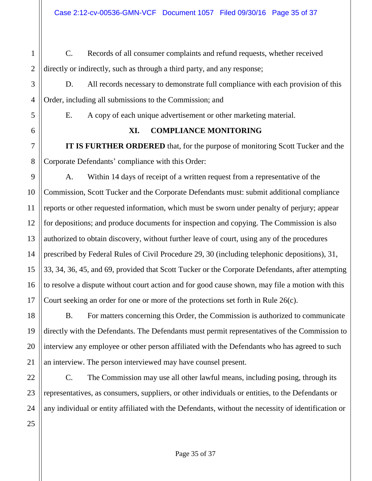C. Records of all consumer complaints and refund requests, whether received directly or indirectly, such as through a third party, and any response;

D. All records necessary to demonstrate full compliance with each provision of this Order, including all submissions to the Commission; and

E. A copy of each unique advertisement or other marketing material.

## **XI. COMPLIANCE MONITORING**

**IT IS FURTHER ORDERED** that, for the purpose of monitoring Scott Tucker and the Corporate Defendants' compliance with this Order:

A. Within 14 days of receipt of a written request from a representative of the Commission, Scott Tucker and the Corporate Defendants must: submit additional compliance reports or other requested information, which must be sworn under penalty of perjury; appear for depositions; and produce documents for inspection and copying. The Commission is also authorized to obtain discovery, without further leave of court, using any of the procedures prescribed by Federal Rules of Civil Procedure 29, 30 (including telephonic depositions), 31, 33, 34, 36, 45, and 69, provided that Scott Tucker or the Corporate Defendants, after attempting to resolve a dispute without court action and for good cause shown, may file a motion with this Court seeking an order for one or more of the protections set forth in Rule 26(c).

B. For matters concerning this Order, the Commission is authorized to communicate directly with the Defendants. The Defendants must permit representatives of the Commission to interview any employee or other person affiliated with the Defendants who has agreed to such an interview. The person interviewed may have counsel present.

C. The Commission may use all other lawful means, including posing, through its representatives, as consumers, suppliers, or other individuals or entities, to the Defendants or any individual or entity affiliated with the Defendants, without the necessity of identification or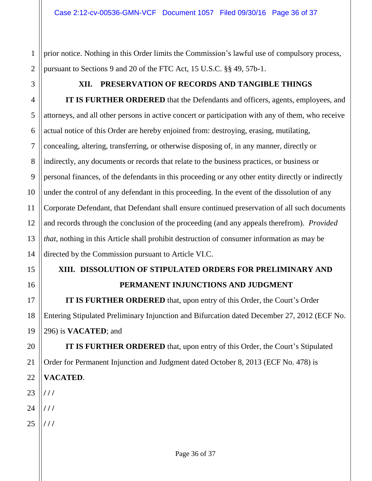1 2 prior notice. Nothing in this Order limits the Commission's lawful use of compulsory process, pursuant to Sections 9 and 20 of the FTC Act, 15 U.S.C. §§ 49, 57b-1.

3

4

5

6

7

8

9

10

11

12

13

14

15

16

17

18

19

20

21

22

## **XII. PRESERVATION OF RECORDS AND TANGIBLE THINGS**

**IT IS FURTHER ORDERED** that the Defendants and officers, agents, employees, and attorneys, and all other persons in active concert or participation with any of them, who receive actual notice of this Order are hereby enjoined from: destroying, erasing, mutilating, concealing, altering, transferring, or otherwise disposing of, in any manner, directly or indirectly, any documents or records that relate to the business practices, or business or personal finances, of the defendants in this proceeding or any other entity directly or indirectly under the control of any defendant in this proceeding. In the event of the dissolution of any Corporate Defendant, that Defendant shall ensure continued preservation of all such documents and records through the conclusion of the proceeding (and any appeals therefrom). *Provided that*, nothing in this Article shall prohibit destruction of consumer information as may be directed by the Commission pursuant to Article VI.C.

# **XIII. DISSOLUTION OF STIPULATED ORDERS FOR PRELIMINARY AND PERMANENT INJUNCTIONS AND JUDGMENT**

**IT IS FURTHER ORDERED** that, upon entry of this Order, the Court's Order Entering Stipulated Preliminary Injunction and Bifurcation dated December 27, 2012 (ECF No. 296) is **VACATED**; and

**IT IS FURTHER ORDERED** that, upon entry of this Order, the Court's Stipulated Order for Permanent Injunction and Judgment dated October 8, 2013 (ECF No. 478) is **VACATED**.

- 23 **/ / /**
- 24 **/ / /**
- 25 **/ / /**